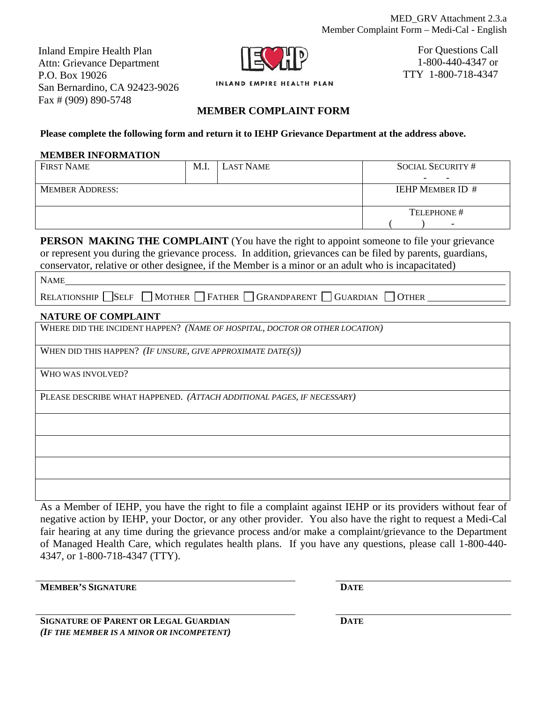Inland Empire Health Plan Attn: Grievance Department P.O. Box 19026 San Bernardino, CA 92423-9026 Fax # (909) 890-5748



For Questions Call 1-800-440-4347 or TTY 1-800-718-4347

INLAND EMPIRE HEALTH PLAN

# **MEMBER COMPLAINT FORM**

**Please complete the following form and return it to IEHP Grievance Department at the address above.** 

#### **MEMBER INFORMATION**

| <b>FIRST NAME</b>      | M.I. | <b>LAST NAME</b>        | <b>SOCIAL SECURITY #</b> |
|------------------------|------|-------------------------|--------------------------|
|                        |      |                         | ۰                        |
| <b>MEMBER ADDRESS:</b> |      | <b>IEHP MEMBER ID #</b> |                          |
|                        |      |                         | TELEPHONE #              |
|                        |      |                         | $\overline{\phantom{0}}$ |

**PERSON MAKING THE COMPLAINT** (You have the right to appoint someone to file your grievance or represent you during the grievance process. In addition, grievances can be filed by parents, guardians, conservator, relative or other designee, if the Member is a minor or an adult who is incapacitated)

| <b>NAME</b>                                                                                   |  |
|-----------------------------------------------------------------------------------------------|--|
| RELATIONSHIP SELF $\Box$ MOTHER $\Box$ FATHER $\Box$ GRANDPARENT $\Box$ GUARDIAN $\Box$ OTHER |  |

## **NATURE OF COMPLAINT**

WHERE DID THE INCIDENT HAPPEN? *(NAME OF HOSPITAL, DOCTOR OR OTHER LOCATION)* 

WHEN DID THIS HAPPEN? *(IF UNSURE, GIVE APPROXIMATE DATE(S))* 

WHO WAS INVOLVED?

PLEASE DESCRIBE WHAT HAPPENED. *(ATTACH ADDITIONAL PAGES, IF NECESSARY)* 

As a Member of IEHP, you have the right to file a complaint against IEHP or its providers without fear of negative action by IEHP, your Doctor, or any other provider. You also have the right to request a Medi-Cal fair hearing at any time during the grievance process and/or make a complaint/grievance to the Department of Managed Health Care, which regulates health plans. If you have any questions, please call 1-800-440- 4347, or 1-800-718-4347 (TTY).

**MEMBER'S SIGNATURE DATE** 

| <b>SIGNATURE OF PARENT OR LEGAL GUARDIAN</b> |  |
|----------------------------------------------|--|
| (IF THE MEMBER IS A MINOR OR INCOMPETENT)    |  |

 **DATE**